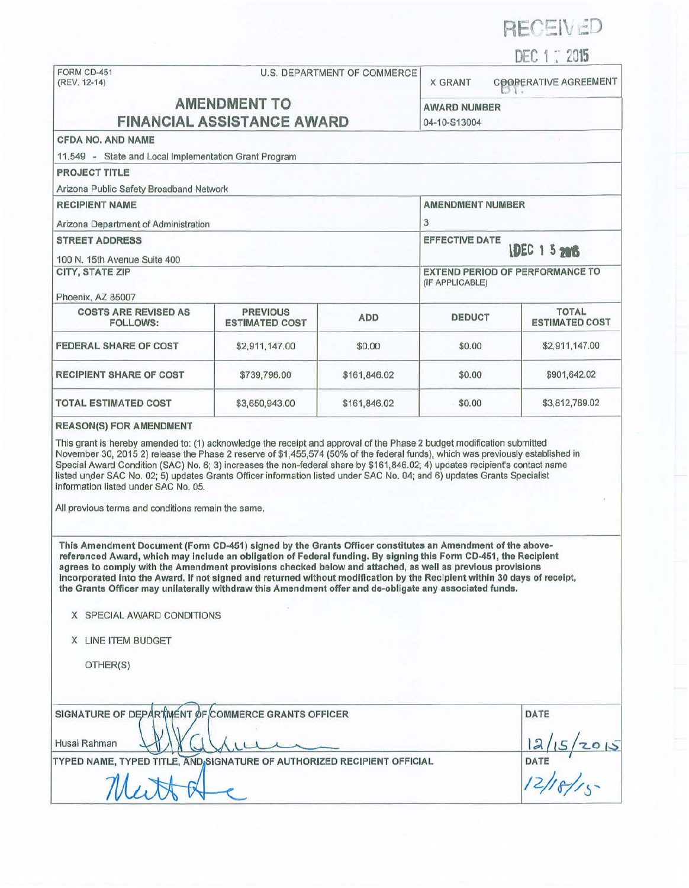

DEC 1 ·.- 2015

| FORM CD-451<br>(REV. 12-14)                                                                                                                                                                                                                                                                                                                                                                                                                                                                                                                                                                                                                       |                                   | U.S. DEPARTMENT OF COMMERCE                   | <b>X GRANT</b>      | $U \cup U$ $\cup$ $U$ $U$<br><b>COORERATIVE AGREEMENT</b> |
|---------------------------------------------------------------------------------------------------------------------------------------------------------------------------------------------------------------------------------------------------------------------------------------------------------------------------------------------------------------------------------------------------------------------------------------------------------------------------------------------------------------------------------------------------------------------------------------------------------------------------------------------------|-----------------------------------|-----------------------------------------------|---------------------|-----------------------------------------------------------|
|                                                                                                                                                                                                                                                                                                                                                                                                                                                                                                                                                                                                                                                   | <b>AMENDMENT TO</b>               |                                               |                     |                                                           |
|                                                                                                                                                                                                                                                                                                                                                                                                                                                                                                                                                                                                                                                   | <b>FINANCIAL ASSISTANCE AWARD</b> |                                               | <b>AWARD NUMBER</b> |                                                           |
|                                                                                                                                                                                                                                                                                                                                                                                                                                                                                                                                                                                                                                                   |                                   |                                               | 04-10-S13004        |                                                           |
| <b>CFDA NO. AND NAME</b>                                                                                                                                                                                                                                                                                                                                                                                                                                                                                                                                                                                                                          |                                   |                                               |                     |                                                           |
| 11.549 - State and Local Implementation Grant Program                                                                                                                                                                                                                                                                                                                                                                                                                                                                                                                                                                                             |                                   |                                               |                     |                                                           |
| PROJECT TITLE                                                                                                                                                                                                                                                                                                                                                                                                                                                                                                                                                                                                                                     |                                   |                                               |                     |                                                           |
| Arizona Public Safety Broadband Network                                                                                                                                                                                                                                                                                                                                                                                                                                                                                                                                                                                                           |                                   |                                               |                     |                                                           |
| <b>RECIPIENT NAME</b>                                                                                                                                                                                                                                                                                                                                                                                                                                                                                                                                                                                                                             |                                   | <b>AMENDMENT NUMBER</b>                       |                     |                                                           |
| Arizona Department of Administration                                                                                                                                                                                                                                                                                                                                                                                                                                                                                                                                                                                                              |                                   |                                               | 3                   |                                                           |
| <b>STREET ADDRESS</b>                                                                                                                                                                                                                                                                                                                                                                                                                                                                                                                                                                                                                             |                                   | <b>EFFECTIVE DATE</b><br><b>IDEC 1 5 2016</b> |                     |                                                           |
| 100 N. 15th Avenue Suite 400                                                                                                                                                                                                                                                                                                                                                                                                                                                                                                                                                                                                                      |                                   |                                               |                     |                                                           |
| CITY, STATE ZIP<br>Phoenix, AZ 85007                                                                                                                                                                                                                                                                                                                                                                                                                                                                                                                                                                                                              |                                   |                                               | (IF APPLICABLE)     | <b>EXTEND PERIOD OF PERFORMANCE TO</b>                    |
| <b>COSTS ARE REVISED AS</b>                                                                                                                                                                                                                                                                                                                                                                                                                                                                                                                                                                                                                       | <b>PREVIOUS</b>                   |                                               |                     | <b>TOTAL</b>                                              |
| <b>FOLLOWS:</b>                                                                                                                                                                                                                                                                                                                                                                                                                                                                                                                                                                                                                                   | <b>ESTIMATED COST</b>             | <b>ADD</b>                                    | <b>DEDUCT</b>       | <b>ESTIMATED COST</b>                                     |
| <b>FEDERAL SHARE OF COST</b>                                                                                                                                                                                                                                                                                                                                                                                                                                                                                                                                                                                                                      | \$2,911,147.00                    | \$0.00                                        | \$0.00              | \$2,911,147.00                                            |
| RECIPIENT SHARE OF COST                                                                                                                                                                                                                                                                                                                                                                                                                                                                                                                                                                                                                           | \$739,796.00                      | \$161,846.02                                  | \$0.00              | \$901,642.02                                              |
| <b>TOTAL ESTIMATED COST</b>                                                                                                                                                                                                                                                                                                                                                                                                                                                                                                                                                                                                                       | \$3,650,943.00                    | \$161,846.02                                  | \$0.00              | \$3,812,789.02                                            |
| Special Award Condition (SAC) No. 6; 3) increases the non-federal share by \$161,846.02; 4) updates recipient's contact name<br>listed under SAC No. 02; 5) updates Grants Officer information listed under SAC No. 04; and 6) updates Grants Specialist<br>information listed under SAC No. 05.<br>All previous terms and conditions remain the same.                                                                                                                                                                                                                                                                                            |                                   |                                               |                     |                                                           |
| This Amendment Document (Form CD-451) signed by the Grants Officer constitutes an Amendment of the above-<br>referenced Award, which may include an obligation of Federal funding. By signing this Form CD-451, the Recipient<br>agrees to comply with the Amendment provisions checked below and attached, as well as previous provisions<br>incorporated into the Award. If not signed and returned without modification by the Recipient within 30 days of receipt,<br>the Grants Officer may unilaterally withdraw this Amendment offer and de-obligate any associated funds.<br>X SPECIAL AWARD CONDITIONS<br>X LINE ITEM BUDGET<br>OTHER(S) |                                   |                                               |                     |                                                           |
| SIGNATURE OF DEPARTMENT OF COMMERCE GRANTS OFFICER<br>Husai Rahman<br>TYPED NAME, TYPED TITLE, AND SIGNATURE OF AUTHORIZED RECIPIENT OFFICIAL                                                                                                                                                                                                                                                                                                                                                                                                                                                                                                     |                                   |                                               |                     | DATE<br>$\frac{12}{15}$<br>DATE<br>12/18/15               |
|                                                                                                                                                                                                                                                                                                                                                                                                                                                                                                                                                                                                                                                   |                                   |                                               |                     |                                                           |